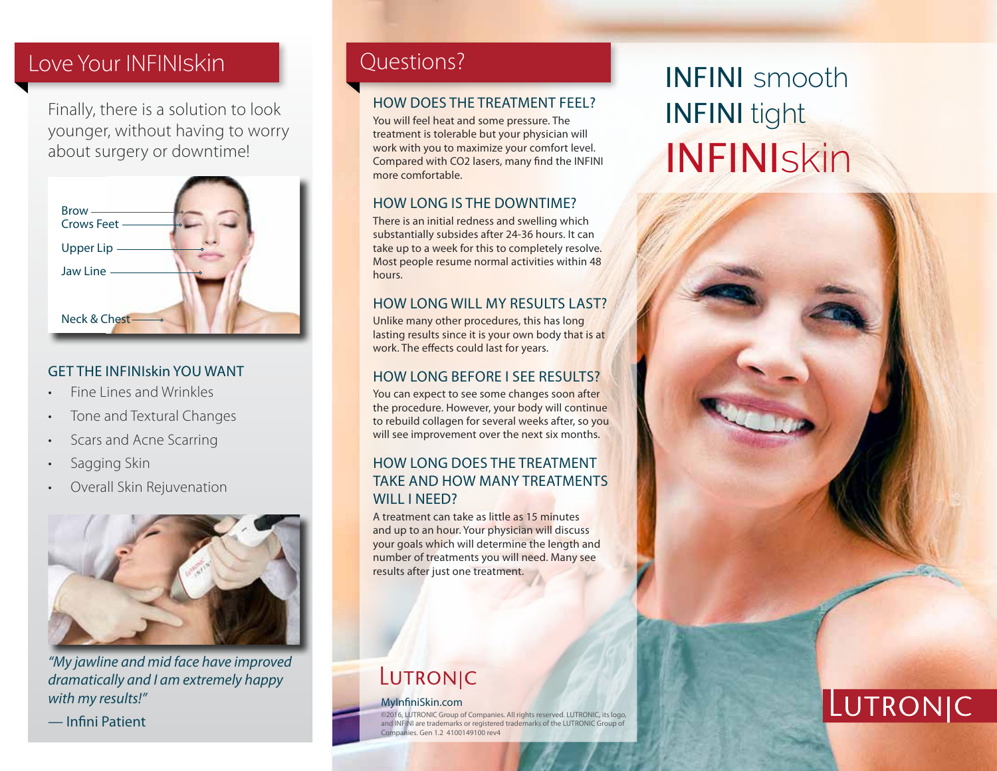## Love Your INFINIskin **Questions?**

Finally, there is a solution to look younger, without having to worry about surgery or downtime!



### GET THE INFINIskin YOU WANT

- Fine Lines and Wrinkles
- Tone and Textural Changes
- Scars and Acne Scarring
- Sagging Skin
- Overall Skin Rejuvenation



*"My jawline and mid face have improved dramatically and I am extremely happy with my results!"*

— Infini Patient

### HOW DOES THE TREATMENT FEEL?

You will feel heat and some pressure. The treatment is tolerable but your physician will work with you to maximize your comfort level. Compared with CO2 lasers, many find the INFINI more comfortable.

### HOW LONG IS THE DOWNTIME?

There is an initial redness and swelling which substantially subsides after 24-36 hours. It can take up to a week for this to completely resolve. Most people resume normal activities within 48 hours.

### HOW LONG WILL MY RESULTS LAST?

Unlike many other procedures, this has long lasting results since it is your own body that is at work. The effects could last for years.

### HOW LONG BEFORE I SEE RESULTS?

You can expect to see some changes soon after the procedure. However, your body will continue to rebuild collagen for several weeks after, so you will see improvement over the next six months.

### HOW LONG DOES THE TREATMENT TAKE AND HOW MANY TREATMENTS WILL I NEED?

A treatment can take as little as 15 minutes and up to an hour. Your physician will discuss your goals which will determine the length and number of treatments you will need. Many see results after just one treatment.

# LUTRONIC

#### MyInfiniSkin.com

©2016, LUTRONIC Group of Companies. All rights reserved. LUTRONIC, its logo,<br>and INFINI are trademarks or registered trademarks of the LUTRONIC Group of ies. Gen 1.2 4100149100 rev4

# INFINI smooth INFINI tight INFINIskin